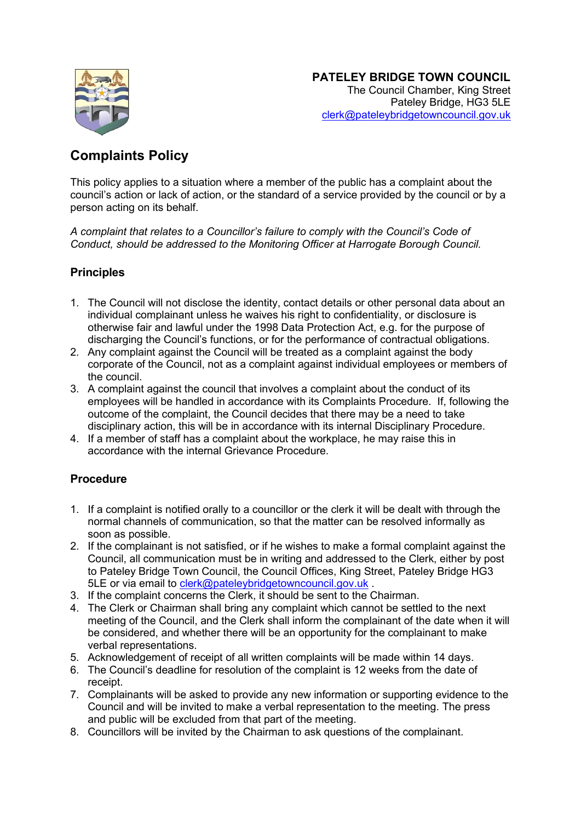

## **Complaints Policy**

This policy applies to a situation where a member of the public has a complaint about the council's action or lack of action, or the standard of a service provided by the council or by a person acting on its behalf.

*A complaint that relates to a Councillor's failure to comply with the Council's Code of Conduct, should be addressed to the Monitoring Officer at Harrogate Borough Council.*

## **Principles**

- 1. The Council will not disclose the identity, contact details or other personal data about an individual complainant unless he waives his right to confidentiality, or disclosure is otherwise fair and lawful under the 1998 Data Protection Act, e.g. for the purpose of discharging the Council's functions, or for the performance of contractual obligations.
- 2. Any complaint against the Council will be treated as a complaint against the body corporate of the Council, not as a complaint against individual employees or members of the council.
- 3. A complaint against the council that involves a complaint about the conduct of its employees will be handled in accordance with its Complaints Procedure. If, following the outcome of the complaint, the Council decides that there may be a need to take disciplinary action, this will be in accordance with its internal Disciplinary Procedure.
- 4. If a member of staff has a complaint about the workplace, he may raise this in accordance with the internal Grievance Procedure.

## **Procedure**

- 1. If a complaint is notified orally to a councillor or the clerk it will be dealt with through the normal channels of communication, so that the matter can be resolved informally as soon as possible.
- 2. If the complainant is not satisfied, or if he wishes to make a formal complaint against the Council, all communication must be in writing and addressed to the Clerk, either by post to Pateley Bridge Town Council, the Council Offices, King Street, Pateley Bridge HG3 5LE or via email to [clerk@pateleybridgetowncouncil.gov.uk](mailto:clerk@pateleybridgetowncouncil.gov.uk)
- 3. If the complaint concerns the Clerk, it should be sent to the Chairman.
- 4. The Clerk or Chairman shall bring any complaint which cannot be settled to the next meeting of the Council, and the Clerk shall inform the complainant of the date when it will be considered, and whether there will be an opportunity for the complainant to make verbal representations.
- 5. Acknowledgement of receipt of all written complaints will be made within 14 days.
- 6. The Council's deadline for resolution of the complaint is 12 weeks from the date of receipt.
- 7. Complainants will be asked to provide any new information or supporting evidence to the Council and will be invited to make a verbal representation to the meeting. The press and public will be excluded from that part of the meeting.
- 8. Councillors will be invited by the Chairman to ask questions of the complainant.